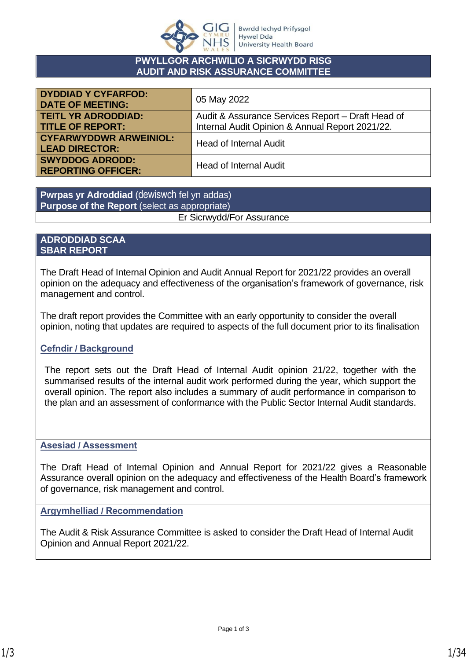

#### **PWYLLGOR ARCHWILIO A SICRWYDD RISG AUDIT AND RISK ASSURANCE COMMITTEE**

| <b>DYDDIAD Y CYFARFOD:</b><br><b>DATE OF MEETING:</b> | 05 May 2022                                       |  |
|-------------------------------------------------------|---------------------------------------------------|--|
| <b>TEITL YR ADRODDIAD:</b>                            | Audit & Assurance Services Report – Draft Head of |  |
| <b>TITLE OF REPORT:</b>                               | Internal Audit Opinion & Annual Report 2021/22.   |  |
| <b>CYFARWYDDWR ARWEINIOL:</b>                         | <b>Head of Internal Audit</b>                     |  |
| <b>LEAD DIRECTOR:</b>                                 |                                                   |  |
| <b>SWYDDOG ADRODD:</b>                                | <b>Head of Internal Audit</b>                     |  |
| <b>REPORTING OFFICER:</b>                             |                                                   |  |

**Pwrpas yr Adroddiad** (dewiswch fel yn addas) **Purpose of the Report** (select as appropriate) Er Sicrwydd/For Assurance

#### **ADRODDIAD SCAA SBAR REPORT**

The Draft Head of Internal Opinion and Audit Annual Report for 2021/22 provides an overall opinion on the adequacy and effectiveness of the organisation's framework of governance, risk management and control.

The draft report provides the Committee with an early opportunity to consider the overall opinion, noting that updates are required to aspects of the full document prior to its finalisation

#### **Cefndir / Background**

The report sets out the Draft Head of Internal Audit opinion 21/22, together with the summarised results of the internal audit work performed during the year, which support the overall opinion. The report also includes a summary of audit performance in comparison to the plan and an assessment of conformance with the Public Sector Internal Audit standards.

#### **Asesiad / Assessment**

The Draft Head of Internal Opinion and Annual Report for 2021/22 gives a Reasonable Assurance overall opinion on the adequacy and effectiveness of the Health Board's framework of governance, risk management and control.

**Argymhelliad / Recommendation**

The Audit & Risk Assurance Committee is asked to consider the Draft Head of Internal Audit Opinion and Annual Report 2021/22.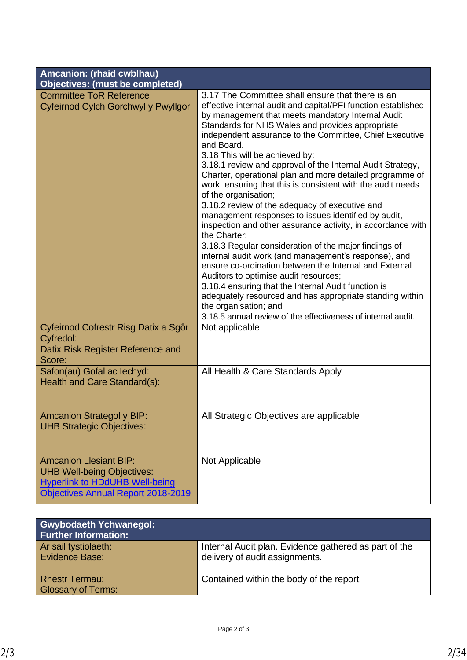| Amcanion: (rhaid cwblhau)<br><b>Objectives: (must be completed)</b>                                                                               |                                                                                                                                                                                                                                                                                                                                                                                                                                                                                                                                                                                                                                                                                                                                                                                                                                                                                                                                                                                                                                                                                                                            |
|---------------------------------------------------------------------------------------------------------------------------------------------------|----------------------------------------------------------------------------------------------------------------------------------------------------------------------------------------------------------------------------------------------------------------------------------------------------------------------------------------------------------------------------------------------------------------------------------------------------------------------------------------------------------------------------------------------------------------------------------------------------------------------------------------------------------------------------------------------------------------------------------------------------------------------------------------------------------------------------------------------------------------------------------------------------------------------------------------------------------------------------------------------------------------------------------------------------------------------------------------------------------------------------|
| <b>Committee ToR Reference</b>                                                                                                                    | 3.17 The Committee shall ensure that there is an                                                                                                                                                                                                                                                                                                                                                                                                                                                                                                                                                                                                                                                                                                                                                                                                                                                                                                                                                                                                                                                                           |
| Cyfeirnod Cylch Gorchwyl y Pwyllgor                                                                                                               | effective internal audit and capital/PFI function established<br>by management that meets mandatory Internal Audit<br>Standards for NHS Wales and provides appropriate<br>independent assurance to the Committee, Chief Executive<br>and Board.<br>3.18 This will be achieved by:<br>3.18.1 review and approval of the Internal Audit Strategy,<br>Charter, operational plan and more detailed programme of<br>work, ensuring that this is consistent with the audit needs<br>of the organisation;<br>3.18.2 review of the adequacy of executive and<br>management responses to issues identified by audit,<br>inspection and other assurance activity, in accordance with<br>the Charter;<br>3.18.3 Regular consideration of the major findings of<br>internal audit work (and management's response), and<br>ensure co-ordination between the Internal and External<br>Auditors to optimise audit resources;<br>3.18.4 ensuring that the Internal Audit function is<br>adequately resourced and has appropriate standing within<br>the organisation; and<br>3.18.5 annual review of the effectiveness of internal audit. |
| Cyfeirnod Cofrestr Risg Datix a Sgôr<br>Cyfredol:<br>Datix Risk Register Reference and<br>Score:                                                  | Not applicable                                                                                                                                                                                                                                                                                                                                                                                                                                                                                                                                                                                                                                                                                                                                                                                                                                                                                                                                                                                                                                                                                                             |
| Safon(au) Gofal ac lechyd:<br>Health and Care Standard(s):                                                                                        | All Health & Care Standards Apply                                                                                                                                                                                                                                                                                                                                                                                                                                                                                                                                                                                                                                                                                                                                                                                                                                                                                                                                                                                                                                                                                          |
| <b>Amcanion Strategol y BIP:</b><br><b>UHB Strategic Objectives:</b>                                                                              | All Strategic Objectives are applicable                                                                                                                                                                                                                                                                                                                                                                                                                                                                                                                                                                                                                                                                                                                                                                                                                                                                                                                                                                                                                                                                                    |
| <b>Amcanion Llesiant BIP:</b><br><b>UHB Well-being Objectives:</b><br><b>Hyperlink to HDdUHB Well-being</b><br>Objectives Annual Report 2018-2019 | Not Applicable                                                                                                                                                                                                                                                                                                                                                                                                                                                                                                                                                                                                                                                                                                                                                                                                                                                                                                                                                                                                                                                                                                             |

| <b>Gwybodaeth Ychwanegol:</b><br><b>Further Information:</b> |                                                                                         |
|--------------------------------------------------------------|-----------------------------------------------------------------------------------------|
| Ar sail tystiolaeth:<br>Evidence Base:                       | Internal Audit plan. Evidence gathered as part of the<br>delivery of audit assignments. |
| <b>Rhestr Termau:</b><br><b>Glossary of Terms:</b>           | Contained within the body of the report.                                                |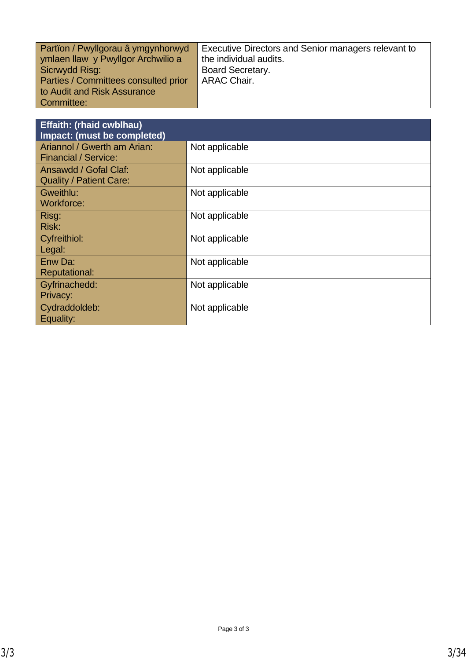| Partion / Pwyllgorau â ymgynhorwyd   | Executive Directors and Senior managers relevant to |
|--------------------------------------|-----------------------------------------------------|
| ymlaen llaw y Pwyllgor Archwilio a   | the individual audits.                              |
| Sicrwydd Risg:                       | <b>Board Secretary.</b>                             |
| Parties / Committees consulted prior | <b>ARAC Chair.</b>                                  |
| to Audit and Risk Assurance          |                                                     |
| Committee:                           |                                                     |

| <b>Effaith: (rhaid cwblhau)</b><br>Impact: (must be completed) |                |
|----------------------------------------------------------------|----------------|
| Ariannol / Gwerth am Arian:<br><b>Financial / Service:</b>     | Not applicable |
| Ansawdd / Gofal Claf:<br><b>Quality / Patient Care:</b>        | Not applicable |
| Gweithlu:<br>Workforce:                                        | Not applicable |
| Risg:<br>Risk:                                                 | Not applicable |
| Cyfreithiol:<br>Legal:                                         | Not applicable |
| Enw Da:<br><b>Reputational:</b>                                | Not applicable |
| Gyfrinachedd:<br>Privacy:                                      | Not applicable |
| Cydraddoldeb:<br>Equality:                                     | Not applicable |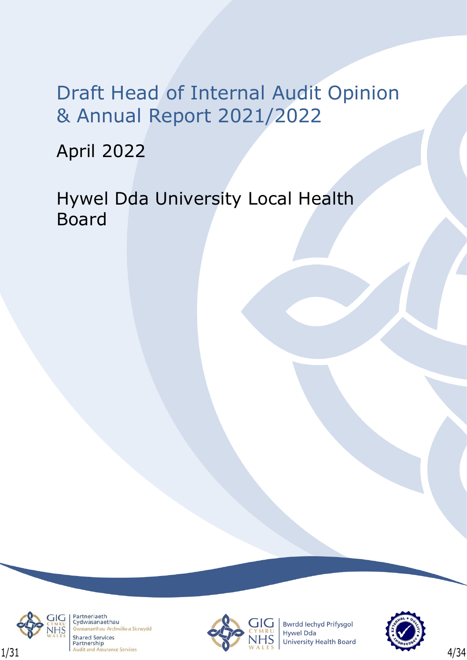April 2022

Hywel Dda University Local Health Board



Partneriaeth Cydwasanaethau naethau Archwilio a Sicrwydd **Shared Services** Partnership



**Bwrdd lechyd Prifysgol** Hywel Dda University Health Board

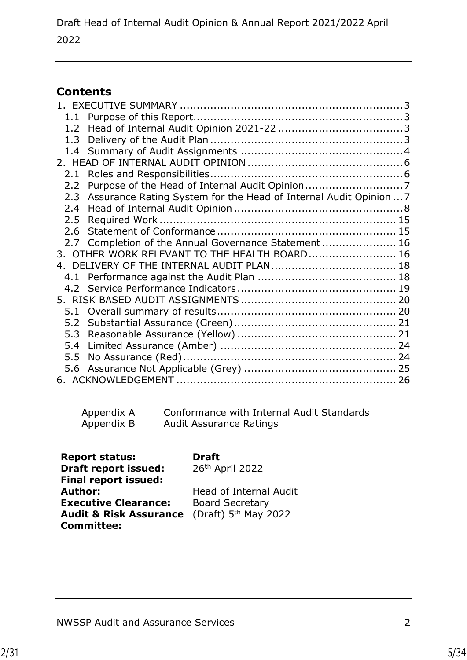## **Contents**

| 1.2 <sub>1</sub> |                                                                   |  |
|------------------|-------------------------------------------------------------------|--|
| 1.3              |                                                                   |  |
|                  |                                                                   |  |
|                  |                                                                   |  |
| 2.1              |                                                                   |  |
| $2.2^{\circ}$    |                                                                   |  |
| 2.3              | Assurance Rating System for the Head of Internal Audit Opinion  7 |  |
| 2.4              |                                                                   |  |
| 2.5              |                                                                   |  |
| 2.6              |                                                                   |  |
|                  | 2.7 Completion of the Annual Governance Statement 16              |  |
|                  | 3. OTHER WORK RELEVANT TO THE HEALTH BOARD 16                     |  |
|                  |                                                                   |  |
|                  |                                                                   |  |
|                  |                                                                   |  |
|                  |                                                                   |  |
|                  |                                                                   |  |
|                  |                                                                   |  |
|                  |                                                                   |  |
| 5.4              |                                                                   |  |
| 5.5              |                                                                   |  |
|                  |                                                                   |  |
|                  |                                                                   |  |

| Appendix A | Conformance with Internal Audit Standards |
|------------|-------------------------------------------|
| Appendix B | <b>Audit Assurance Ratings</b>            |

| <b>Report status:</b>             | <b>Draft</b>           |
|-----------------------------------|------------------------|
| <b>Draft report issued:</b>       | 26th April 2022        |
| <b>Final report issued:</b>       |                        |
| Author:                           | Head of Internal Audit |
| <b>Executive Clearance:</b>       | <b>Board Secretary</b> |
| <b>Audit &amp; Risk Assurance</b> | (Draft) $5th$ May 2022 |
| <b>Committee:</b>                 |                        |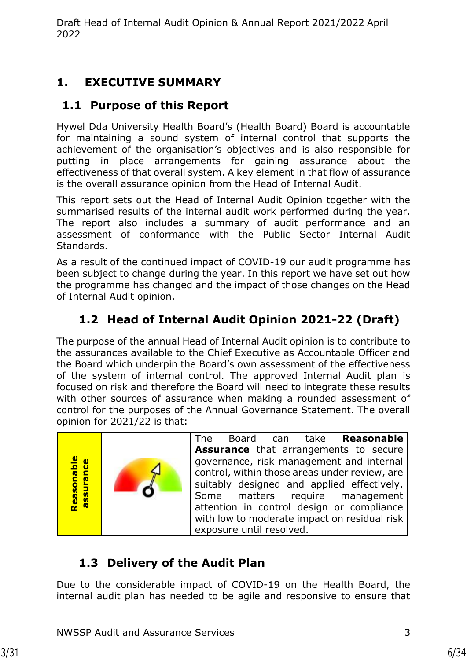## <span id="page-5-0"></span>**1. EXECUTIVE SUMMARY**

## <span id="page-5-1"></span>**1.1 Purpose of this Report**

Hywel Dda University Health Board's (Health Board) Board is accountable for maintaining a sound system of internal control that supports the achievement of the organisation's objectives and is also responsible for putting in place arrangements for gaining assurance about the effectiveness of that overall system. A key element in that flow of assurance is the overall assurance opinion from the Head of Internal Audit.

This report sets out the Head of Internal Audit Opinion together with the summarised results of the internal audit work performed during the year. The report also includes a summary of audit performance and an assessment of conformance with the Public Sector Internal Audit Standards.

As a result of the continued impact of COVID-19 our audit programme has been subject to change during the year. In this report we have set out how the programme has changed and the impact of those changes on the Head of Internal Audit opinion.

# <span id="page-5-2"></span>**1.2 Head of Internal Audit Opinion 2021-22 (Draft)**

The purpose of the annual Head of Internal Audit opinion is to contribute to the assurances available to the Chief Executive as Accountable Officer and the Board which underpin the Board's own assessment of the effectiveness of the system of internal control. The approved Internal Audit plan is focused on risk and therefore the Board will need to integrate these results with other sources of assurance when making a rounded assessment of control for the purposes of the Annual Governance Statement. The overall opinion for 2021/22 is that:



The Board can take **Reasonable Assurance** that arrangements to secure governance, risk management and internal control, within those areas under review, are suitably designed and applied effectively. Some matters require management attention in control design or compliance with low to moderate impact on residual risk exposure until resolved.

# <span id="page-5-3"></span>**1.3 Delivery of the Audit Plan**

Due to the considerable impact of COVID-19 on the Health Board, the internal audit plan has needed to be agile and responsive to ensure that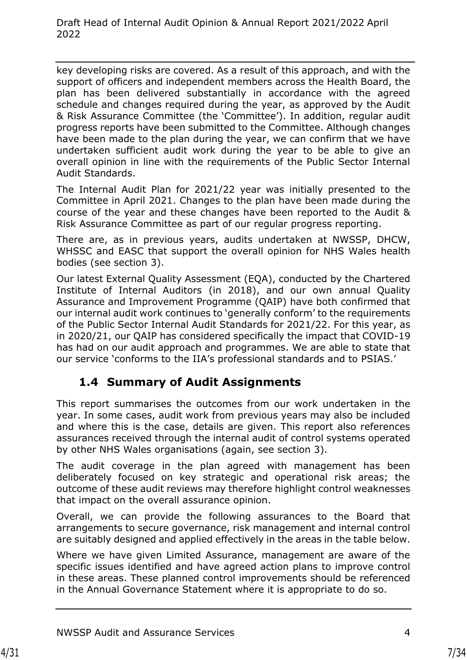key developing risks are covered. As a result of this approach, and with the support of officers and independent members across the Health Board, the plan has been delivered substantially in accordance with the agreed schedule and changes required during the year, as approved by the Audit & Risk Assurance Committee (the 'Committee'). In addition, regular audit progress reports have been submitted to the Committee. Although changes have been made to the plan during the year, we can confirm that we have undertaken sufficient audit work during the year to be able to give an overall opinion in line with the requirements of the Public Sector Internal Audit Standards.

The Internal Audit Plan for 2021/22 year was initially presented to the Committee in April 2021. Changes to the plan have been made during the course of the year and these changes have been reported to the Audit & Risk Assurance Committee as part of our regular progress reporting.

There are, as in previous years, audits undertaken at NWSSP, DHCW, WHSSC and EASC that support the overall opinion for NHS Wales health bodies (see section 3).

Our latest External Quality Assessment (EQA), conducted by the Chartered Institute of Internal Auditors (in 2018), and our own annual Quality Assurance and Improvement Programme (QAIP) have both confirmed that our internal audit work continues to 'generally conform' to the requirements of the Public Sector Internal Audit Standards for 2021/22. For this year, as in 2020/21, our QAIP has considered specifically the impact that COVID-19 has had on our audit approach and programmes. We are able to state that our service 'conforms to the IIA's professional standards and to PSIAS.'

## <span id="page-6-0"></span>**1.4 Summary of Audit Assignments**

This report summarises the outcomes from our work undertaken in the year. In some cases, audit work from previous years may also be included and where this is the case, details are given. This report also references assurances received through the internal audit of control systems operated by other NHS Wales organisations (again, see section 3).

The audit coverage in the plan agreed with management has been deliberately focused on key strategic and operational risk areas; the outcome of these audit reviews may therefore highlight control weaknesses that impact on the overall assurance opinion.

Overall, we can provide the following assurances to the Board that arrangements to secure governance, risk management and internal control are suitably designed and applied effectively in the areas in the table below.

Where we have given Limited Assurance, management are aware of the specific issues identified and have agreed action plans to improve control in these areas. These planned control improvements should be referenced in the Annual Governance Statement where it is appropriate to do so.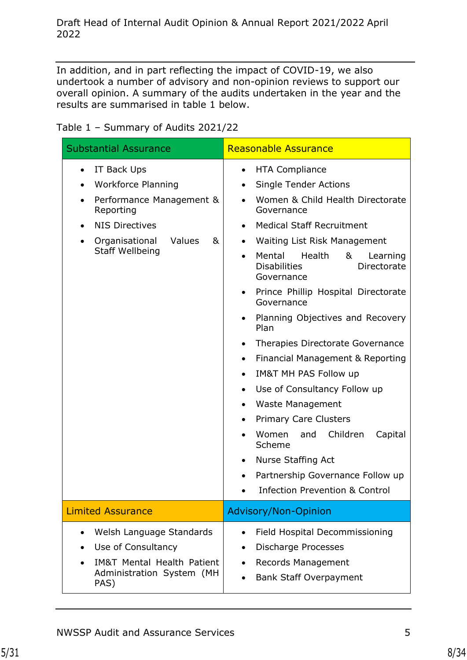In addition, and in part reflecting the impact of COVID-19, we also undertook a number of advisory and non-opinion reviews to support our overall opinion. A summary of the audits undertaken in the year and the results are summarised in table 1 below.

|  | Table 1 - Summary of Audits 2021/22 |  |  |
|--|-------------------------------------|--|--|
|--|-------------------------------------|--|--|

| <b>Substantial Assurance</b>                                                                                                                                                                                                           | <b>Reasonable Assurance</b>                                                                                                                                                                                                                                                                                                                                                                                                                                                                                                                                                                                                                                                                                                                                                                                                                                                                                                                          |  |
|----------------------------------------------------------------------------------------------------------------------------------------------------------------------------------------------------------------------------------------|------------------------------------------------------------------------------------------------------------------------------------------------------------------------------------------------------------------------------------------------------------------------------------------------------------------------------------------------------------------------------------------------------------------------------------------------------------------------------------------------------------------------------------------------------------------------------------------------------------------------------------------------------------------------------------------------------------------------------------------------------------------------------------------------------------------------------------------------------------------------------------------------------------------------------------------------------|--|
| IT Back Ups<br>$\bullet$<br><b>Workforce Planning</b><br>$\bullet$<br>Performance Management &<br>$\bullet$<br>Reporting<br><b>NIS Directives</b><br>$\bullet$<br>Organisational<br>Values<br>&<br>$\bullet$<br><b>Staff Wellbeing</b> | <b>HTA Compliance</b><br>$\bullet$<br><b>Single Tender Actions</b><br>$\bullet$<br>Women & Child Health Directorate<br>$\bullet$<br>Governance<br><b>Medical Staff Recruitment</b><br>$\bullet$<br>Waiting List Risk Management<br>$\bullet$<br>Mental<br>Health<br>&<br>Learning<br>$\bullet$<br><b>Disabilities</b><br>Directorate<br>Governance<br>Prince Phillip Hospital Directorate<br>$\bullet$<br>Governance<br>Planning Objectives and Recovery<br>$\bullet$<br>Plan<br>Therapies Directorate Governance<br>$\bullet$<br>Financial Management & Reporting<br>$\bullet$<br><b>IM&amp;T MH PAS Follow up</b><br>$\bullet$<br>Use of Consultancy Follow up<br>$\bullet$<br><b>Waste Management</b><br>$\bullet$<br><b>Primary Care Clusters</b><br>$\bullet$<br>Children<br>Women<br>and<br>Capital<br>$\bullet$<br>Scheme<br>Nurse Staffing Act<br>$\bullet$<br>Partnership Governance Follow up<br><b>Infection Prevention &amp; Control</b> |  |
| <b>Limited Assurance</b>                                                                                                                                                                                                               | Advisory/Non-Opinion                                                                                                                                                                                                                                                                                                                                                                                                                                                                                                                                                                                                                                                                                                                                                                                                                                                                                                                                 |  |
| Welsh Language Standards<br>$\bullet$<br>Use of Consultancy<br><b>IM&amp;T Mental Health Patient</b><br>Administration System (MH<br>PAS)                                                                                              | Field Hospital Decommissioning<br>$\bullet$<br>Discharge Processes<br>$\bullet$<br><b>Records Management</b><br><b>Bank Staff Overpayment</b>                                                                                                                                                                                                                                                                                                                                                                                                                                                                                                                                                                                                                                                                                                                                                                                                        |  |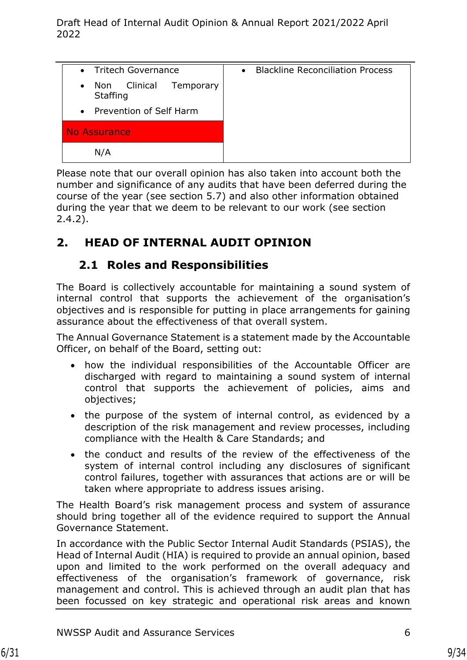| • Tritech Governance                                      | <b>Blackline Reconciliation Process</b><br>$\bullet$ |
|-----------------------------------------------------------|------------------------------------------------------|
| Non Clinical<br>Temporary<br>$\bullet$<br><b>Staffing</b> |                                                      |
| • Prevention of Self Harm                                 |                                                      |
| No Assurance                                              |                                                      |
| N/A                                                       |                                                      |

Please note that our overall opinion has also taken into account both the number and significance of any audits that have been deferred during the course of the year (see section 5.7) and also other information obtained during the year that we deem to be relevant to our work (see section 2.4.2).

## <span id="page-8-0"></span>**2. HEAD OF INTERNAL AUDIT OPINION**

### **2.1 Roles and Responsibilities**

<span id="page-8-1"></span>The Board is collectively accountable for maintaining a sound system of internal control that supports the achievement of the organisation's objectives and is responsible for putting in place arrangements for gaining assurance about the effectiveness of that overall system.

The Annual Governance Statement is a statement made by the Accountable Officer, on behalf of the Board, setting out:

- how the individual responsibilities of the Accountable Officer are discharged with regard to maintaining a sound system of internal control that supports the achievement of policies, aims and objectives;
- the purpose of the system of internal control, as evidenced by a description of the risk management and review processes, including compliance with the Health & Care Standards; and
- the conduct and results of the review of the effectiveness of the system of internal control including any disclosures of significant control failures, together with assurances that actions are or will be taken where appropriate to address issues arising.

The Health Board's risk management process and system of assurance should bring together all of the evidence required to support the Annual Governance Statement.

In accordance with the Public Sector Internal Audit Standards (PSIAS), the Head of Internal Audit (HIA) is required to provide an annual opinion, based upon and limited to the work performed on the overall adequacy and effectiveness of the organisation's framework of governance, risk management and control. This is achieved through an audit plan that has been focussed on key strategic and operational risk areas and known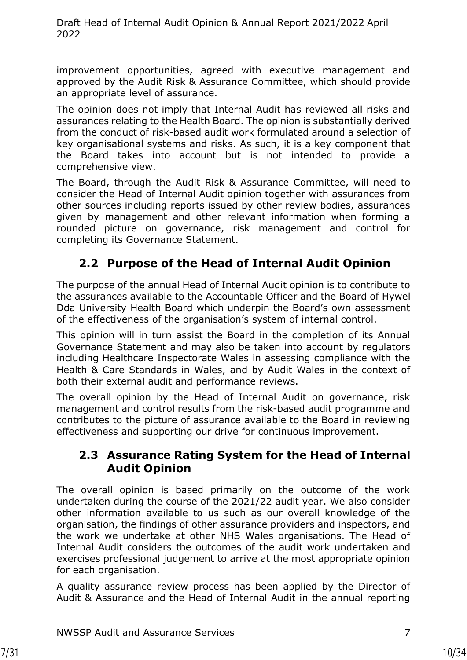improvement opportunities, agreed with executive management and approved by the Audit Risk & Assurance Committee, which should provide an appropriate level of assurance.

The opinion does not imply that Internal Audit has reviewed all risks and assurances relating to the Health Board. The opinion is substantially derived from the conduct of risk-based audit work formulated around a selection of key organisational systems and risks. As such, it is a key component that the Board takes into account but is not intended to provide a comprehensive view.

The Board, through the Audit Risk & Assurance Committee, will need to consider the Head of Internal Audit opinion together with assurances from other sources including reports issued by other review bodies, assurances given by management and other relevant information when forming a rounded picture on governance, risk management and control for completing its Governance Statement.

### <span id="page-9-0"></span>**2.2 Purpose of the Head of Internal Audit Opinion**

The purpose of the annual Head of Internal Audit opinion is to contribute to the assurances available to the Accountable Officer and the Board of Hywel Dda University Health Board which underpin the Board's own assessment of the effectiveness of the organisation's system of internal control.

This opinion will in turn assist the Board in the completion of its Annual Governance Statement and may also be taken into account by regulators including Healthcare Inspectorate Wales in assessing compliance with the Health & Care Standards in Wales, and by Audit Wales in the context of both their external audit and performance reviews.

The overall opinion by the Head of Internal Audit on governance, risk management and control results from the risk-based audit programme and contributes to the picture of assurance available to the Board in reviewing effectiveness and supporting our drive for continuous improvement.

#### <span id="page-9-1"></span>**2.3 Assurance Rating System for the Head of Internal Audit Opinion**

The overall opinion is based primarily on the outcome of the work undertaken during the course of the 2021/22 audit year. We also consider other information available to us such as our overall knowledge of the organisation, the findings of other assurance providers and inspectors, and the work we undertake at other NHS Wales organisations. The Head of Internal Audit considers the outcomes of the audit work undertaken and exercises professional judgement to arrive at the most appropriate opinion for each organisation.

A quality assurance review process has been applied by the Director of Audit & Assurance and the Head of Internal Audit in the annual reporting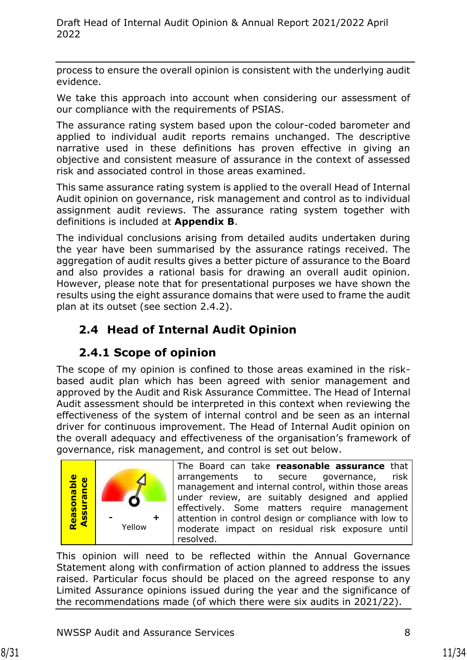process to ensure the overall opinion is consistent with the underlying audit evidence.

We take this approach into account when considering our assessment of our compliance with the requirements of PSIAS.

The assurance rating system based upon the colour-coded barometer and applied to individual audit reports remains unchanged. The descriptive narrative used in these definitions has proven effective in giving an objective and consistent measure of assurance in the context of assessed risk and associated control in those areas examined.

This same assurance rating system is applied to the overall Head of Internal Audit opinion on governance, risk management and control as to individual assignment audit reviews. The assurance rating system together with definitions is included at **Appendix B**.

The individual conclusions arising from detailed audits undertaken during the year have been summarised by the assurance ratings received. The aggregation of audit results gives a better picture of assurance to the Board and also provides a rational basis for drawing an overall audit opinion. However, please note that for presentational purposes we have shown the results using the eight assurance domains that were used to frame the audit plan at its outset (see section 2.4.2).

# <span id="page-10-0"></span>**2.4 Head of Internal Audit Opinion**

## **2.4.1 Scope of opinion**

The scope of my opinion is confined to those areas examined in the riskbased audit plan which has been agreed with senior management and approved by the Audit and Risk Assurance Committee. The Head of Internal Audit assessment should be interpreted in this context when reviewing the effectiveness of the system of internal control and be seen as an internal driver for continuous improvement. The Head of Internal Audit opinion on the overall adequacy and effectiveness of the organisation's framework of governance, risk management, and control is set out below.



The Board can take **reasonable assurance** that arrangements to secure governance, risk management and internal control, within those areas under review, are suitably designed and applied effectively. Some matters require management attention in control design or compliance with low to moderate impact on residual risk exposure until resolved.

This opinion will need to be reflected within the Annual Governance Statement along with confirmation of action planned to address the issues raised. Particular focus should be placed on the agreed response to any Limited Assurance opinions issued during the year and the significance of the recommendations made (of which there were six audits in 2021/22).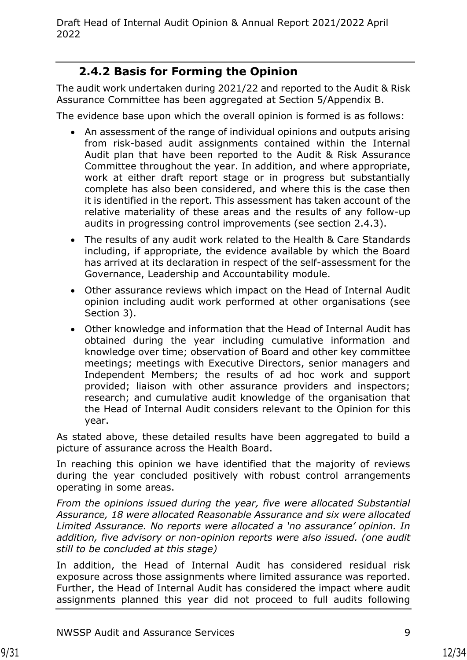### **2.4.2 Basis for Forming the Opinion**

The audit work undertaken during 2021/22 and reported to the Audit & Risk Assurance Committee has been aggregated at Section 5/Appendix B.

The evidence base upon which the overall opinion is formed is as follows:

- An assessment of the range of individual opinions and outputs arising from risk-based audit assignments contained within the Internal Audit plan that have been reported to the Audit & Risk Assurance Committee throughout the year. In addition, and where appropriate, work at either draft report stage or in progress but substantially complete has also been considered, and where this is the case then it is identified in the report. This assessment has taken account of the relative materiality of these areas and the results of any follow-up audits in progressing control improvements (see section 2.4.3).
- The results of any audit work related to the Health & Care Standards including, if appropriate, the evidence available by which the Board has arrived at its declaration in respect of the self-assessment for the Governance, Leadership and Accountability module.
- Other assurance reviews which impact on the Head of Internal Audit opinion including audit work performed at other organisations (see Section 3).
- Other knowledge and information that the Head of Internal Audit has obtained during the year including cumulative information and knowledge over time; observation of Board and other key committee meetings; meetings with Executive Directors, senior managers and Independent Members; the results of ad hoc work and support provided; liaison with other assurance providers and inspectors; research; and cumulative audit knowledge of the organisation that the Head of Internal Audit considers relevant to the Opinion for this year.

As stated above, these detailed results have been aggregated to build a picture of assurance across the Health Board.

In reaching this opinion we have identified that the majority of reviews during the year concluded positively with robust control arrangements operating in some areas.

*From the opinions issued during the year, five were allocated Substantial Assurance, 18 were allocated Reasonable Assurance and six were allocated Limited Assurance. No reports were allocated a 'no assurance' opinion. In addition, five advisory or non-opinion reports were also issued. (one audit still to be concluded at this stage)*

In addition, the Head of Internal Audit has considered residual risk exposure across those assignments where limited assurance was reported. Further, the Head of Internal Audit has considered the impact where audit assignments planned this year did not proceed to full audits following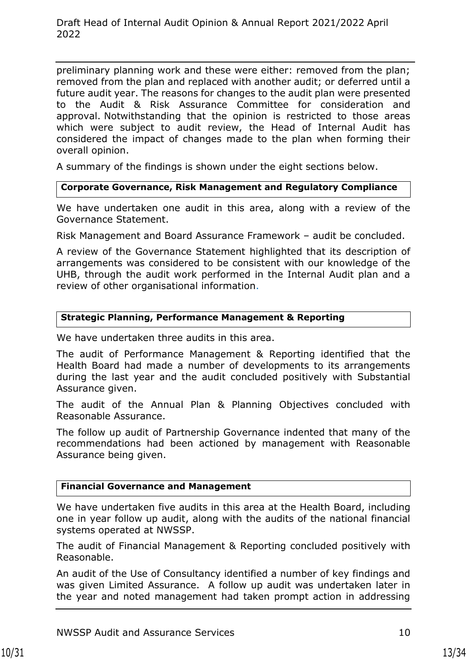preliminary planning work and these were either: removed from the plan; removed from the plan and replaced with another audit; or deferred until a future audit year. The reasons for changes to the audit plan were presented to the Audit & Risk Assurance Committee for consideration and approval. Notwithstanding that the opinion is restricted to those areas which were subject to audit review, the Head of Internal Audit has considered the impact of changes made to the plan when forming their overall opinion.

A summary of the findings is shown under the eight sections below.

#### **Corporate Governance, Risk Management and Regulatory Compliance**

We have undertaken one audit in this area, along with a review of the Governance Statement.

Risk Management and Board Assurance Framework – audit be concluded.

A review of the Governance Statement highlighted that its description of arrangements was considered to be consistent with our knowledge of the UHB, through the audit work performed in the Internal Audit plan and a review of other organisational information.

#### **Strategic Planning, Performance Management & Reporting**

We have undertaken three audits in this area.

The audit of Performance Management & Reporting identified that the Health Board had made a number of developments to its arrangements during the last year and the audit concluded positively with Substantial Assurance given.

The audit of the Annual Plan & Planning Objectives concluded with Reasonable Assurance.

The follow up audit of Partnership Governance indented that many of the recommendations had been actioned by management with Reasonable Assurance being given.

#### **Financial Governance and Management**

We have undertaken five audits in this area at the Health Board, including one in year follow up audit, along with the audits of the national financial systems operated at NWSSP.

The audit of Financial Management & Reporting concluded positively with Reasonable.

An audit of the Use of Consultancy identified a number of key findings and was given Limited Assurance. A follow up audit was undertaken later in the year and noted management had taken prompt action in addressing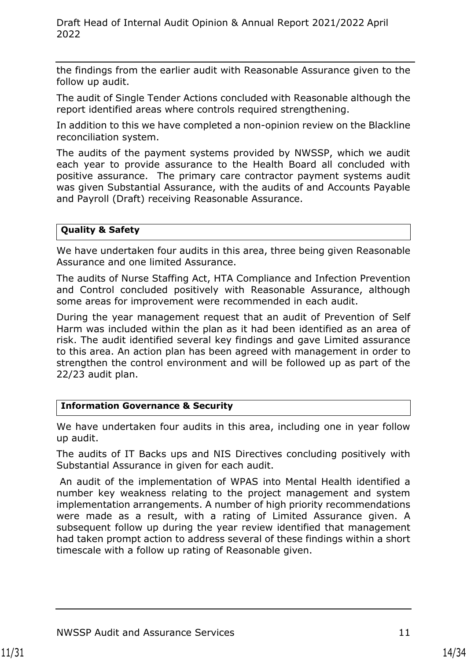the findings from the earlier audit with Reasonable Assurance given to the follow up audit.

The audit of Single Tender Actions concluded with Reasonable although the report identified areas where controls required strengthening.

In addition to this we have completed a non-opinion review on the Blackline reconciliation system.

The audits of the payment systems provided by NWSSP, which we audit each year to provide assurance to the Health Board all concluded with positive assurance. The primary care contractor payment systems audit was given Substantial Assurance, with the audits of and Accounts Payable and Payroll (Draft) receiving Reasonable Assurance.

#### **Quality & Safety**

We have undertaken four audits in this area, three being given Reasonable Assurance and one limited Assurance.

The audits of Nurse Staffing Act, HTA Compliance and Infection Prevention and Control concluded positively with Reasonable Assurance, although some areas for improvement were recommended in each audit.

During the year management request that an audit of Prevention of Self Harm was included within the plan as it had been identified as an area of risk. The audit identified several key findings and gave Limited assurance to this area. An action plan has been agreed with management in order to strengthen the control environment and will be followed up as part of the 22/23 audit plan.

#### **Information Governance & Security**

We have undertaken four audits in this area, including one in year follow up audit.

The audits of IT Backs ups and NIS Directives concluding positively with Substantial Assurance in given for each audit.

An audit of the implementation of WPAS into Mental Health identified a number key weakness relating to the project management and system implementation arrangements. A number of high priority recommendations were made as a result, with a rating of Limited Assurance given. A subsequent follow up during the year review identified that management had taken prompt action to address several of these findings within a short timescale with a follow up rating of Reasonable given.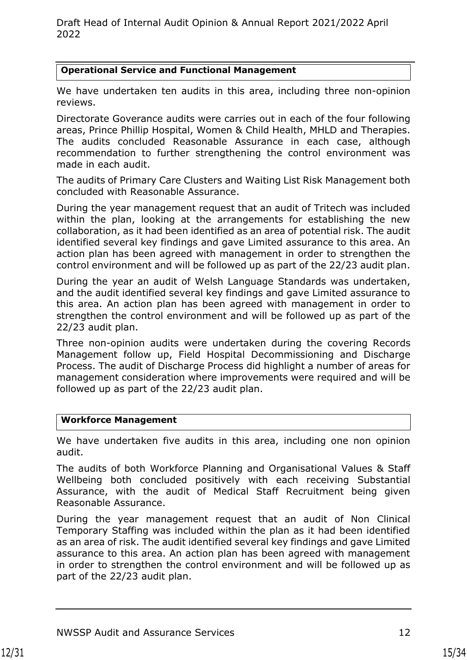#### **Operational Service and Functional Management**

We have undertaken ten audits in this area, including three non-opinion reviews.

Directorate Goverance audits were carries out in each of the four following areas, Prince Phillip Hospital, Women & Child Health, MHLD and Therapies. The audits concluded Reasonable Assurance in each case, although recommendation to further strengthening the control environment was made in each audit.

The audits of Primary Care Clusters and Waiting List Risk Management both concluded with Reasonable Assurance.

During the year management request that an audit of Tritech was included within the plan, looking at the arrangements for establishing the new collaboration, as it had been identified as an area of potential risk. The audit identified several key findings and gave Limited assurance to this area. An action plan has been agreed with management in order to strengthen the control environment and will be followed up as part of the 22/23 audit plan.

During the year an audit of Welsh Language Standards was undertaken, and the audit identified several key findings and gave Limited assurance to this area. An action plan has been agreed with management in order to strengthen the control environment and will be followed up as part of the 22/23 audit plan.

Three non-opinion audits were undertaken during the covering Records Management follow up, Field Hospital Decommissioning and Discharge Process. The audit of Discharge Process did highlight a number of areas for management consideration where improvements were required and will be followed up as part of the 22/23 audit plan.

#### **Workforce Management**

We have undertaken five audits in this area, including one non opinion audit.

The audits of both Workforce Planning and Organisational Values & Staff Wellbeing both concluded positively with each receiving Substantial Assurance, with the audit of Medical Staff Recruitment being given Reasonable Assurance.

During the year management request that an audit of Non Clinical Temporary Staffing was included within the plan as it had been identified as an area of risk. The audit identified several key findings and gave Limited assurance to this area. An action plan has been agreed with management in order to strengthen the control environment and will be followed up as part of the 22/23 audit plan.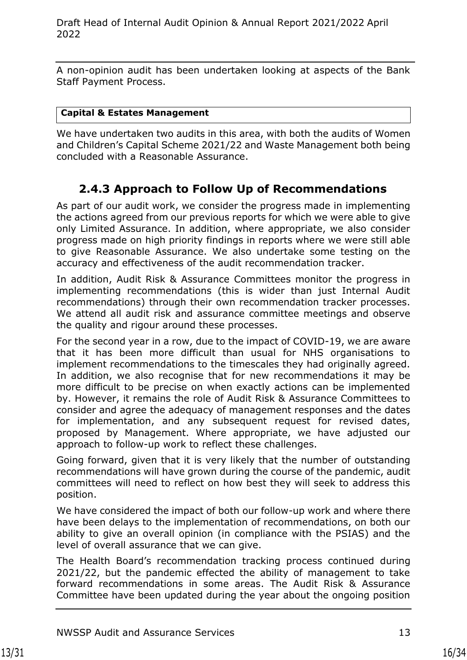A non-opinion audit has been undertaken looking at aspects of the Bank Staff Payment Process.

#### **Capital & Estates Management**

We have undertaken two audits in this area, with both the audits of Women and Children's Capital Scheme 2021/22 and Waste Management both being concluded with a Reasonable Assurance.

### **2.4.3 Approach to Follow Up of Recommendations**

As part of our audit work, we consider the progress made in implementing the actions agreed from our previous reports for which we were able to give only Limited Assurance. In addition, where appropriate, we also consider progress made on high priority findings in reports where we were still able to give Reasonable Assurance. We also undertake some testing on the accuracy and effectiveness of the audit recommendation tracker.

In addition, Audit Risk & Assurance Committees monitor the progress in implementing recommendations (this is wider than just Internal Audit recommendations) through their own recommendation tracker processes. We attend all audit risk and assurance committee meetings and observe the quality and rigour around these processes.

For the second year in a row, due to the impact of COVID-19, we are aware that it has been more difficult than usual for NHS organisations to implement recommendations to the timescales they had originally agreed. In addition, we also recognise that for new recommendations it may be more difficult to be precise on when exactly actions can be implemented by. However, it remains the role of Audit Risk & Assurance Committees to consider and agree the adequacy of management responses and the dates for implementation, and any subsequent request for revised dates, proposed by Management. Where appropriate, we have adjusted our approach to follow-up work to reflect these challenges.

Going forward, given that it is very likely that the number of outstanding recommendations will have grown during the course of the pandemic, audit committees will need to reflect on how best they will seek to address this position.

We have considered the impact of both our follow-up work and where there have been delays to the implementation of recommendations, on both our ability to give an overall opinion (in compliance with the PSIAS) and the level of overall assurance that we can give.

The Health Board's recommendation tracking process continued during 2021/22, but the pandemic effected the ability of management to take forward recommendations in some areas. The Audit Risk & Assurance Committee have been updated during the year about the ongoing position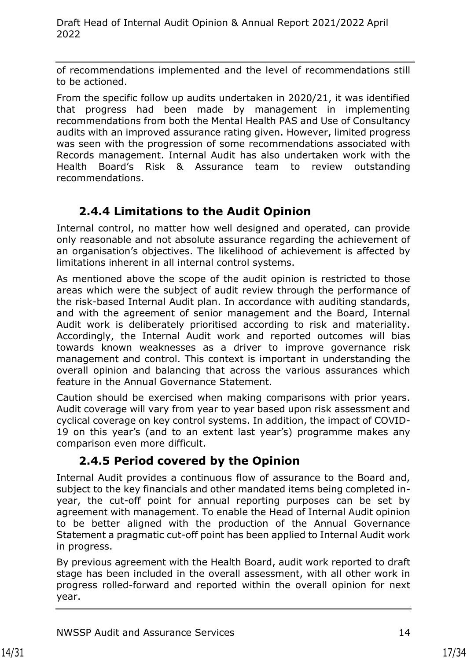of recommendations implemented and the level of recommendations still to be actioned.

From the specific follow up audits undertaken in 2020/21, it was identified that progress had been made by management in implementing recommendations from both the Mental Health PAS and Use of Consultancy audits with an improved assurance rating given. However, limited progress was seen with the progression of some recommendations associated with Records management. Internal Audit has also undertaken work with the Health Board's Risk & Assurance team to review outstanding recommendations.

## **2.4.4 Limitations to the Audit Opinion**

Internal control, no matter how well designed and operated, can provide only reasonable and not absolute assurance regarding the achievement of an organisation's objectives. The likelihood of achievement is affected by limitations inherent in all internal control systems.

As mentioned above the scope of the audit opinion is restricted to those areas which were the subject of audit review through the performance of the risk-based Internal Audit plan. In accordance with auditing standards, and with the agreement of senior management and the Board, Internal Audit work is deliberately prioritised according to risk and materiality. Accordingly, the Internal Audit work and reported outcomes will bias towards known weaknesses as a driver to improve governance risk management and control. This context is important in understanding the overall opinion and balancing that across the various assurances which feature in the Annual Governance Statement.

Caution should be exercised when making comparisons with prior years. Audit coverage will vary from year to year based upon risk assessment and cyclical coverage on key control systems. In addition, the impact of COVID-19 on this year's (and to an extent last year's) programme makes any comparison even more difficult.

## **2.4.5 Period covered by the Opinion**

Internal Audit provides a continuous flow of assurance to the Board and, subject to the key financials and other mandated items being completed inyear, the cut-off point for annual reporting purposes can be set by agreement with management. To enable the Head of Internal Audit opinion to be better aligned with the production of the Annual Governance Statement a pragmatic cut-off point has been applied to Internal Audit work in progress.

By previous agreement with the Health Board, audit work reported to draft stage has been included in the overall assessment, with all other work in progress rolled-forward and reported within the overall opinion for next year.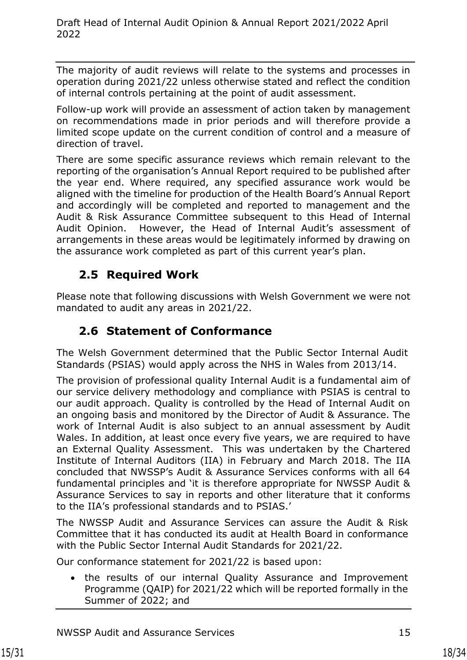The majority of audit reviews will relate to the systems and processes in operation during 2021/22 unless otherwise stated and reflect the condition of internal controls pertaining at the point of audit assessment.

Follow-up work will provide an assessment of action taken by management on recommendations made in prior periods and will therefore provide a limited scope update on the current condition of control and a measure of direction of travel.

There are some specific assurance reviews which remain relevant to the reporting of the organisation's Annual Report required to be published after the year end. Where required, any specified assurance work would be aligned with the timeline for production of the Health Board's Annual Report and accordingly will be completed and reported to management and the Audit & Risk Assurance Committee subsequent to this Head of Internal Audit Opinion. However, the Head of Internal Audit's assessment of arrangements in these areas would be legitimately informed by drawing on the assurance work completed as part of this current year's plan.

## <span id="page-17-0"></span>**2.5 Required Work**

Please note that following discussions with Welsh Government we were not mandated to audit any areas in 2021/22.

## <span id="page-17-1"></span>**2.6 Statement of Conformance**

The Welsh Government determined that the Public Sector Internal Audit Standards (PSIAS) would apply across the NHS in Wales from 2013/14.

The provision of professional quality Internal Audit is a fundamental aim of our service delivery methodology and compliance with PSIAS is central to our audit approach. Quality is controlled by the Head of Internal Audit on an ongoing basis and monitored by the Director of Audit & Assurance. The work of Internal Audit is also subject to an annual assessment by Audit Wales. In addition, at least once every five years, we are required to have an External Quality Assessment. This was undertaken by the Chartered Institute of Internal Auditors (IIA) in February and March 2018. The IIA concluded that NWSSP's Audit & Assurance Services conforms with all 64 fundamental principles and 'it is therefore appropriate for NWSSP Audit & Assurance Services to say in reports and other literature that it conforms to the IIA's professional standards and to PSIAS.'

The NWSSP Audit and Assurance Services can assure the Audit & Risk Committee that it has conducted its audit at Health Board in conformance with the Public Sector Internal Audit Standards for 2021/22.

Our conformance statement for 2021/22 is based upon:

• the results of our internal Quality Assurance and Improvement Programme (QAIP) for 2021/22 which will be reported formally in the Summer of 2022; and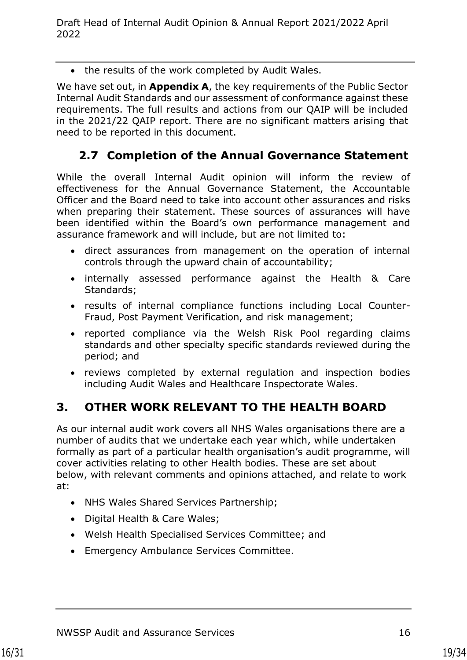• the results of the work completed by Audit Wales.

We have set out, in **Appendix A**, the key requirements of the Public Sector Internal Audit Standards and our assessment of conformance against these requirements. The full results and actions from our QAIP will be included in the 2021/22 QAIP report. There are no significant matters arising that need to be reported in this document.

### <span id="page-18-0"></span>**2.7 Completion of the Annual Governance Statement**

While the overall Internal Audit opinion will inform the review of effectiveness for the Annual Governance Statement, the Accountable Officer and the Board need to take into account other assurances and risks when preparing their statement. These sources of assurances will have been identified within the Board's own performance management and assurance framework and will include, but are not limited to:

- direct assurances from management on the operation of internal controls through the upward chain of accountability;
- internally assessed performance against the Health & Care Standards;
- results of internal compliance functions including Local Counter-Fraud, Post Payment Verification, and risk management;
- reported compliance via the Welsh Risk Pool regarding claims standards and other specialty specific standards reviewed during the period; and
- reviews completed by external regulation and inspection bodies including Audit Wales and Healthcare Inspectorate Wales.

### <span id="page-18-1"></span>**3. OTHER WORK RELEVANT TO THE HEALTH BOARD**

As our internal audit work covers all NHS Wales organisations there are a number of audits that we undertake each year which, while undertaken formally as part of a particular health organisation's audit programme, will cover activities relating to other Health bodies. These are set about below, with relevant comments and opinions attached, and relate to work at:

- NHS Wales Shared Services Partnership;
- Digital Health & Care Wales;
- Welsh Health Specialised Services Committee; and
- Emergency Ambulance Services Committee.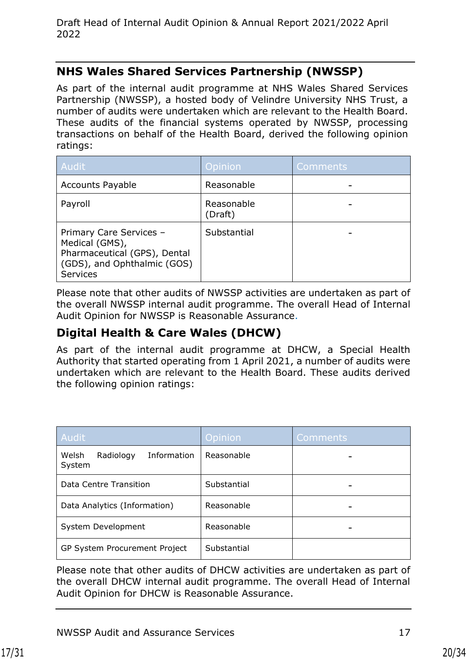#### **NHS Wales Shared Services Partnership (NWSSP)**

As part of the internal audit programme at NHS Wales Shared Services Partnership (NWSSP), a hosted body of Velindre University NHS Trust, a number of audits were undertaken which are relevant to the Health Board. These audits of the financial systems operated by NWSSP, processing transactions on behalf of the Health Board, derived the following opinion ratings:

| Audit                                                                                                                       | <b>Opinion</b>        | Comments |
|-----------------------------------------------------------------------------------------------------------------------------|-----------------------|----------|
| <b>Accounts Payable</b>                                                                                                     | Reasonable            |          |
| Payroll                                                                                                                     | Reasonable<br>(Draft) |          |
| Primary Care Services -<br>Medical (GMS),<br>Pharmaceutical (GPS), Dental<br>(GDS), and Ophthalmic (GOS)<br><b>Services</b> | Substantial           |          |

Please note that other audits of NWSSP activities are undertaken as part of the overall NWSSP internal audit programme. The overall Head of Internal Audit Opinion for NWSSP is Reasonable Assurance.

### **Digital Health & Care Wales (DHCW)**

As part of the internal audit programme at DHCW, a Special Health Authority that started operating from 1 April 2021, a number of audits were undertaken which are relevant to the Health Board. These audits derived the following opinion ratings:

| Audit                                       | Opinion     | Comments |
|---------------------------------------------|-------------|----------|
| Welsh<br>Information<br>Radiology<br>System | Reasonable  |          |
| Data Centre Transition                      | Substantial |          |
| Data Analytics (Information)                | Reasonable  |          |
| System Development                          | Reasonable  |          |
| GP System Procurement Project               | Substantial |          |

Please note that other audits of DHCW activities are undertaken as part of the overall DHCW internal audit programme. The overall Head of Internal Audit Opinion for DHCW is Reasonable Assurance.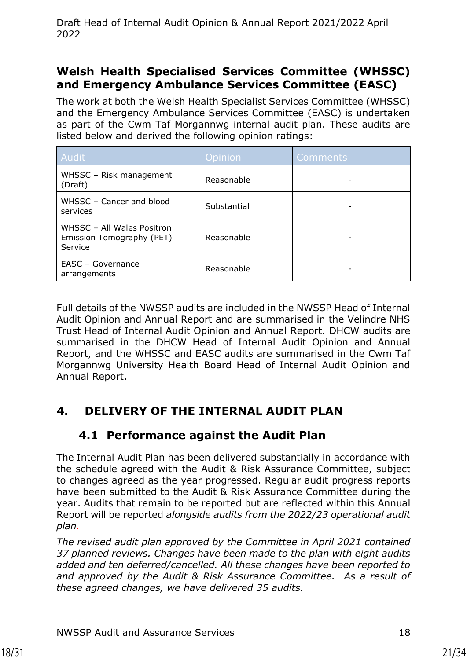#### **Welsh Health Specialised Services Committee (WHSSC) and Emergency Ambulance Services Committee (EASC)**

The work at both the Welsh Health Specialist Services Committee (WHSSC) and the Emergency Ambulance Services Committee (EASC) is undertaken as part of the Cwm Taf Morgannwg internal audit plan. These audits are listed below and derived the following opinion ratings:

| Audit <sup>1</sup>                                                 | Opinion     | <b>Comments</b> |
|--------------------------------------------------------------------|-------------|-----------------|
| WHSSC - Risk management<br>(Draft)                                 | Reasonable  |                 |
| WHSSC - Cancer and blood<br>services                               | Substantial |                 |
| WHSSC - All Wales Positron<br>Emission Tomography (PET)<br>Service | Reasonable  |                 |
| EASC - Governance<br>arrangements                                  | Reasonable  |                 |

Full details of the NWSSP audits are included in the NWSSP Head of Internal Audit Opinion and Annual Report and are summarised in the Velindre NHS Trust Head of Internal Audit Opinion and Annual Report. DHCW audits are summarised in the DHCW Head of Internal Audit Opinion and Annual Report, and the WHSSC and EASC audits are summarised in the Cwm Taf Morgannwg University Health Board Head of Internal Audit Opinion and Annual Report.

# <span id="page-20-1"></span><span id="page-20-0"></span>**4. DELIVERY OF THE INTERNAL AUDIT PLAN**

## **4.1 Performance against the Audit Plan**

The Internal Audit Plan has been delivered substantially in accordance with the schedule agreed with the Audit & Risk Assurance Committee, subject to changes agreed as the year progressed. Regular audit progress reports have been submitted to the Audit & Risk Assurance Committee during the year. Audits that remain to be reported but are reflected within this Annual Report will be reported *alongside audits from the 2022/23 operational audit plan.* 

*The revised audit plan approved by the Committee in April 2021 contained 37 planned reviews. Changes have been made to the plan with eight audits added and ten deferred/cancelled. All these changes have been reported to and approved by the Audit & Risk Assurance Committee. As a result of these agreed changes, we have delivered 35 audits.*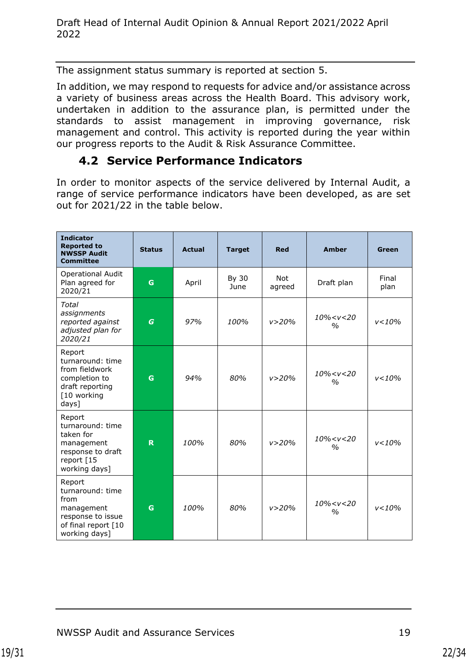The assignment status summary is reported at section 5.

In addition, we may respond to requests for advice and/or assistance across a variety of business areas across the Health Board. This advisory work, undertaken in addition to the assurance plan, is permitted under the standards to assist management in improving governance, risk management and control. This activity is reported during the year within our progress reports to the Audit & Risk Assurance Committee.

#### **4.2 Service Performance Indicators**

<span id="page-21-0"></span>In order to monitor aspects of the service delivered by Internal Audit, a range of service performance indicators have been developed, as are set out for 2021/22 in the table below.

| <b>Indicator</b><br><b>Reported to</b><br><b>NWSSP Audit</b><br><b>Committee</b>                              | <b>Status</b> | <b>Actual</b> | <b>Target</b> | <b>Red</b>           | <b>Amber</b>                                    | Green         |
|---------------------------------------------------------------------------------------------------------------|---------------|---------------|---------------|----------------------|-------------------------------------------------|---------------|
| <b>Operational Audit</b><br>Plan agreed for<br>2020/21                                                        | G             | April         | By 30<br>June | <b>Not</b><br>agreed | Draft plan                                      | Final<br>plan |
| <b>Total</b><br>assignments<br>reported against<br>adjusted plan for<br>2020/21                               | G             | 97%           | 100%          | v > 20%              | $10\% < v < 20$<br>$\frac{0}{0}$                | v < 10%       |
| Report<br>turnaround: time<br>from fieldwork<br>completion to<br>draft reporting<br>[10 working<br>days]      | G             | 94%           | 80%           | v > 20%              | 10% <v<20<br><math>\frac{0}{0}</math></v<20<br> | v < 10%       |
| Report<br>turnaround: time<br>taken for<br>management<br>response to draft<br>report [15<br>working days]     | R.            | 100%          | 80%           | v > 20%              | $10\% < v < 20$<br>$\frac{0}{0}$                | v < 10%       |
| Report<br>turnaround: time<br>from<br>management<br>response to issue<br>of final report [10<br>working days] | G             | 100%          | 80%           | v > 20%              | $10\% < v < 20$<br>$\frac{0}{0}$                | $v < 10\%$    |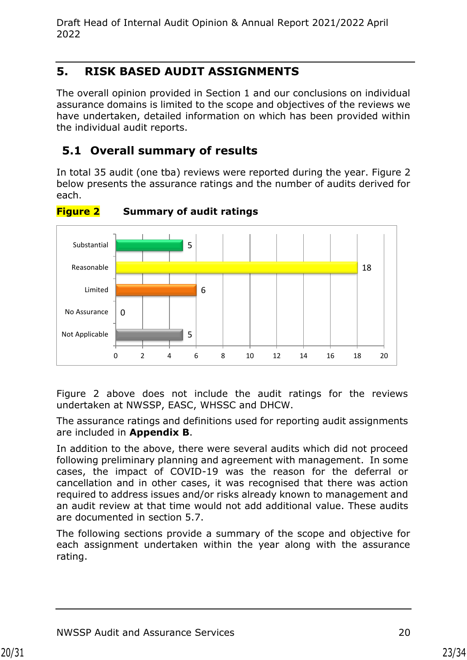### <span id="page-22-0"></span>**5. RISK BASED AUDIT ASSIGNMENTS**

The overall opinion provided in Section 1 and our conclusions on individual assurance domains is limited to the scope and objectives of the reviews we have undertaken, detailed information on which has been provided within the individual audit reports.

## <span id="page-22-1"></span>**5.1 Overall summary of results**

In total 35 audit (one tba) reviews were reported during the year. Figure 2 below presents the assurance ratings and the number of audits derived for each.



**Figure 2 Summary of audit ratings**

Figure 2 above does not include the audit ratings for the reviews undertaken at NWSSP, EASC, WHSSC and DHCW.

The assurance ratings and definitions used for reporting audit assignments are included in **Appendix B**.

In addition to the above, there were several audits which did not proceed following preliminary planning and agreement with management. In some cases, the impact of COVID-19 was the reason for the deferral or cancellation and in other cases, it was recognised that there was action required to address issues and/or risks already known to management and an audit review at that time would not add additional value. These audits are documented in section 5.7.

The following sections provide a summary of the scope and objective for each assignment undertaken within the year along with the assurance rating.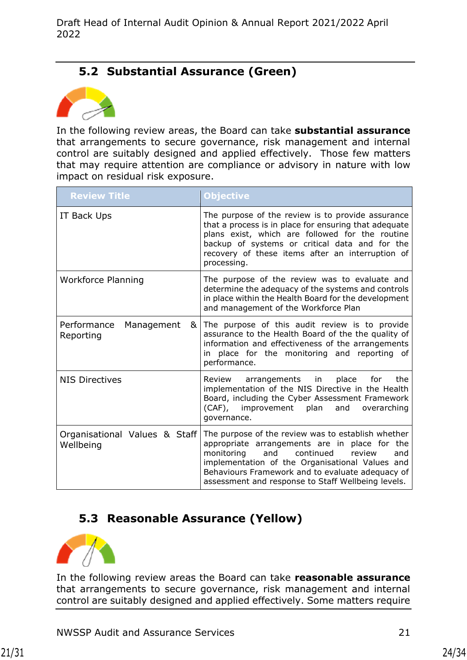### **5.2 Substantial Assurance (Green)**

<span id="page-23-0"></span>

In the following review areas, the Board can take **substantial assurance** that arrangements to secure governance, risk management and internal control are suitably designed and applied effectively. Those few matters that may require attention are compliance or advisory in nature with low impact on residual risk exposure.

| <b>Review Title</b>                         | <b>Objective</b>                                                                                                                                                                                                                                                                                                    |
|---------------------------------------------|---------------------------------------------------------------------------------------------------------------------------------------------------------------------------------------------------------------------------------------------------------------------------------------------------------------------|
| IT Back Ups                                 | The purpose of the review is to provide assurance<br>that a process is in place for ensuring that adequate<br>plans exist, which are followed for the routine<br>backup of systems or critical data and for the<br>recovery of these items after an interruption of<br>processing.                                  |
| <b>Workforce Planning</b>                   | The purpose of the review was to evaluate and<br>determine the adequacy of the systems and controls<br>in place within the Health Board for the development<br>and management of the Workforce Plan                                                                                                                 |
| Performance<br>Management<br>&<br>Reporting | The purpose of this audit review is to provide<br>assurance to the Health Board of the the quality of<br>information and effectiveness of the arrangements<br>in place for the monitoring and reporting of<br>performance.                                                                                          |
| <b>NIS Directives</b>                       | place<br>the<br>Review<br>arrangements in<br>for<br>implementation of the NIS Directive in the Health<br>Board, including the Cyber Assessment Framework<br>(CAF), improvement plan<br>and<br>overarching<br>governance.                                                                                            |
| Organisational Values & Staff<br>Wellbeing  | The purpose of the review was to establish whether<br>appropriate arrangements are in place for the<br>continued<br>monitoring<br>and<br>review<br>and<br>implementation of the Organisational Values and<br>Behaviours Framework and to evaluate adequacy of<br>assessment and response to Staff Wellbeing levels. |

### <span id="page-23-1"></span>**5.3 Reasonable Assurance (Yellow)**



In the following review areas the Board can take **reasonable assurance**  that arrangements to secure governance, risk management and internal control are suitably designed and applied effectively. Some matters require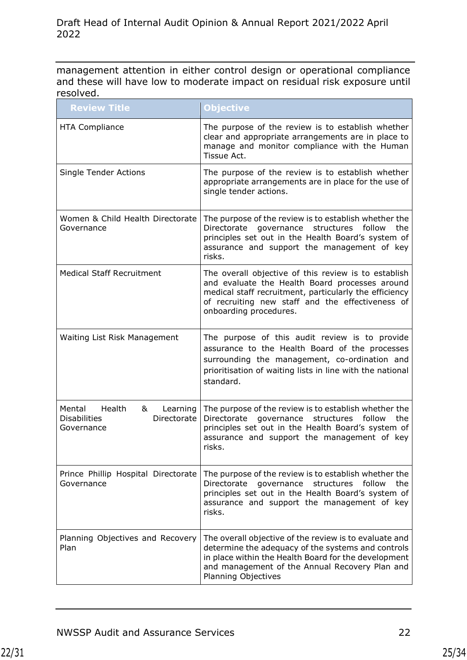management attention in either control design or operational compliance and these will have low to moderate impact on residual risk exposure until resolved.

| <b>Review Title</b>                                                                   | Objective                                                                                                                                                                                                                                      |
|---------------------------------------------------------------------------------------|------------------------------------------------------------------------------------------------------------------------------------------------------------------------------------------------------------------------------------------------|
| <b>HTA Compliance</b>                                                                 | The purpose of the review is to establish whether<br>clear and appropriate arrangements are in place to<br>manage and monitor compliance with the Human<br>Tissue Act.                                                                         |
| <b>Single Tender Actions</b>                                                          | The purpose of the review is to establish whether<br>appropriate arrangements are in place for the use of<br>single tender actions.                                                                                                            |
| Women & Child Health Directorate<br>Governance                                        | The purpose of the review is to establish whether the<br>Directorate governance<br>structures<br>follow<br>the<br>principles set out in the Health Board's system of<br>assurance and support the management of key<br>risks.                  |
| <b>Medical Staff Recruitment</b>                                                      | The overall objective of this review is to establish<br>and evaluate the Health Board processes around<br>medical staff recruitment, particularly the efficiency<br>of recruiting new staff and the effectiveness of<br>onboarding procedures. |
| Waiting List Risk Management                                                          | The purpose of this audit review is to provide<br>assurance to the Health Board of the processes<br>surrounding the management, co-ordination and<br>prioritisation of waiting lists in line with the national<br>standard.                    |
| Mental<br>Health<br>Learning<br>&<br>Directorate<br><b>Disabilities</b><br>Governance | The purpose of the review is to establish whether the<br>Directorate<br>governance<br>structures<br>follow<br>the<br>principles set out in the Health Board's system of<br>assurance and support the management of key<br>risks.               |
| Prince Phillip Hospital Directorate<br>Governance                                     | The purpose of the review is to establish whether the<br>Directorate<br>structures<br>follow<br>the<br>governance<br>principles set out in the Health Board's system of<br>assurance and support the management of key<br>risks.               |
| Planning Objectives and Recovery<br>Plan                                              | The overall objective of the review is to evaluate and<br>determine the adequacy of the systems and controls<br>in place within the Health Board for the development<br>and management of the Annual Recovery Plan and<br>Planning Objectives  |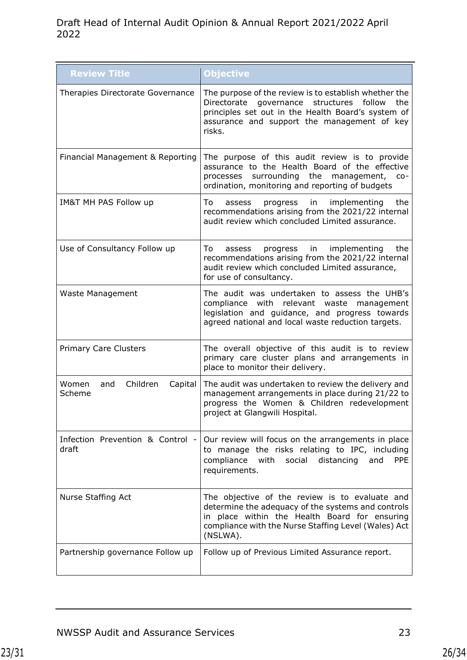| <b>Review Title</b>                           | Objective                                                                                                                                                                                                                 |
|-----------------------------------------------|---------------------------------------------------------------------------------------------------------------------------------------------------------------------------------------------------------------------------|
| Therapies Directorate Governance              | The purpose of the review is to establish whether the<br>Directorate governance structures follow<br>the<br>principles set out in the Health Board's system of<br>assurance and support the management of key<br>risks.   |
| Financial Management & Reporting              | The purpose of this audit review is to provide<br>assurance to the Health Board of the effective<br>surrounding the management, co-<br>processes<br>ordination, monitoring and reporting of budgets                       |
| IM&T MH PAS Follow up                         | To<br>in<br>implementing<br>the<br>progress<br>assess<br>recommendations arising from the 2021/22 internal<br>audit review which concluded Limited assurance.                                                             |
| Use of Consultancy Follow up                  | implementing<br>the<br>To<br>progress in<br>assess<br>recommendations arising from the 2021/22 internal<br>audit review which concluded Limited assurance,<br>for use of consultancy.                                     |
| Waste Management                              | The audit was undertaken to assess the UHB's<br>compliance with relevant waste management<br>legislation and guidance, and progress towards<br>agreed national and local waste reduction targets.                         |
| <b>Primary Care Clusters</b>                  | The overall objective of this audit is to review<br>primary care cluster plans and arrangements in<br>place to monitor their delivery.                                                                                    |
| Women<br>Children<br>Capital<br>and<br>Scheme | The audit was undertaken to review the delivery and<br>management arrangements in place during 21/22 to<br>progress the Women & Children redevelopment<br>project at Glangwili Hospital.                                  |
| Infection Prevention & Control -<br>draft     | Our review will focus on the arrangements in place<br>to manage the risks relating to IPC, including<br>compliance<br>distancing<br>PPE<br>with<br>social<br>and<br>requirements.                                         |
| Nurse Staffing Act                            | The objective of the review is to evaluate and<br>determine the adequacy of the systems and controls<br>in place within the Health Board for ensuring<br>compliance with the Nurse Staffing Level (Wales) Act<br>(NSLWA). |
| Partnership governance Follow up              | Follow up of Previous Limited Assurance report.                                                                                                                                                                           |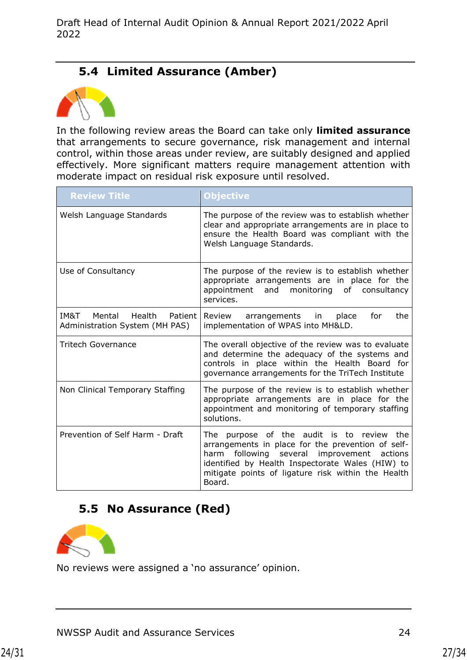### **5.4 Limited Assurance (Amber)**

<span id="page-26-0"></span>

In the following review areas the Board can take only **limited assurance**  that arrangements to secure governance, risk management and internal control, within those areas under review, are suitably designed and applied effectively. More significant matters require management attention with moderate impact on residual risk exposure until resolved.

<span id="page-26-1"></span>

| <b>Review Title</b>                                                   | Objective                                                                                                                                                                                                                                                                 |
|-----------------------------------------------------------------------|---------------------------------------------------------------------------------------------------------------------------------------------------------------------------------------------------------------------------------------------------------------------------|
| Welsh Language Standards                                              | The purpose of the review was to establish whether<br>clear and appropriate arrangements are in place to<br>ensure the Health Board was compliant with the<br>Welsh Language Standards.                                                                                   |
| Use of Consultancy                                                    | The purpose of the review is to establish whether<br>appropriate arrangements are in place for the<br>and monitoring<br>of consultancy<br>appointment<br>services.                                                                                                        |
| IM&T<br>Mental<br>Health<br>Patient<br>Administration System (MH PAS) | place<br>the<br>Review<br>arrangements in<br>for<br>implementation of WPAS into MH&LD.                                                                                                                                                                                    |
| Tritech Governance                                                    | The overall objective of the review was to evaluate<br>and determine the adequacy of the systems and<br>controls in place within the Health Board for<br>governance arrangements for the TriTech Institute                                                                |
| Non Clinical Temporary Staffing                                       | The purpose of the review is to establish whether<br>appropriate arrangements are in place for the<br>appointment and monitoring of temporary staffing<br>solutions.                                                                                                      |
| Prevention of Self Harm - Draft                                       | purpose of the audit is to review the<br>The<br>arrangements in place for the prevention of self-<br>following several improvement<br>harm<br>actions<br>identified by Health Inspectorate Wales (HIW) to<br>mitigate points of ligature risk within the Health<br>Board. |

### **5.5 No Assurance (Red)**



No reviews were assigned a 'no assurance' opinion.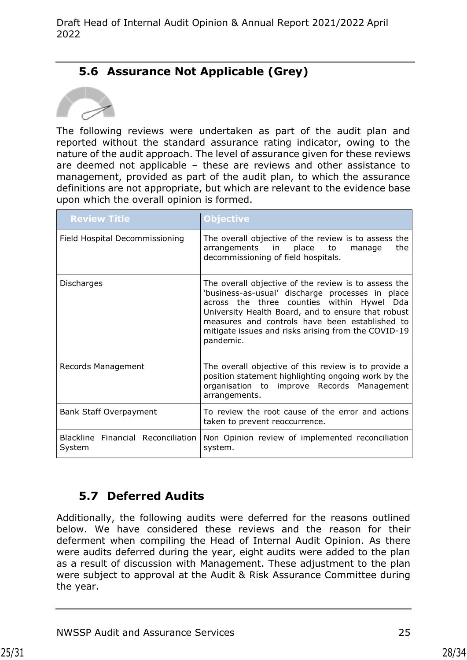## <span id="page-27-0"></span>**5.6 Assurance Not Applicable (Grey)**



The following reviews were undertaken as part of the audit plan and reported without the standard assurance rating indicator, owing to the nature of the audit approach. The level of assurance given for these reviews are deemed not applicable – these are reviews and other assistance to management, provided as part of the audit plan, to which the assurance definitions are not appropriate, but which are relevant to the evidence base upon which the overall opinion is formed.

| <b>Review Title</b>                          | <b>Objective</b>                                                                                                                                                                                                                                                                                                                      |
|----------------------------------------------|---------------------------------------------------------------------------------------------------------------------------------------------------------------------------------------------------------------------------------------------------------------------------------------------------------------------------------------|
| Field Hospital Decommissioning               | The overall objective of the review is to assess the<br>arrangements in<br>place<br>the<br>to<br>manage<br>decommissioning of field hospitals.                                                                                                                                                                                        |
| Discharges                                   | The overall objective of the review is to assess the<br>'business-as-usual' discharge processes in place<br>across the three counties within Hywel<br>Dda<br>University Health Board, and to ensure that robust<br>measures and controls have been established to<br>mitigate issues and risks arising from the COVID-19<br>pandemic. |
| Records Management                           | The overall objective of this review is to provide a<br>position statement highlighting ongoing work by the<br>organisation to improve Records Management<br>arrangements.                                                                                                                                                            |
| Bank Staff Overpayment                       | To review the root cause of the error and actions<br>taken to prevent reoccurrence.                                                                                                                                                                                                                                                   |
| Blackline Financial Reconciliation<br>System | Non Opinion review of implemented reconciliation<br>system.                                                                                                                                                                                                                                                                           |

## **5.7 Deferred Audits**

Additionally, the following audits were deferred for the reasons outlined below. We have considered these reviews and the reason for their deferment when compiling the Head of Internal Audit Opinion. As there were audits deferred during the year, eight audits were added to the plan as a result of discussion with Management. These adjustment to the plan were subject to approval at the Audit & Risk Assurance Committee during the year.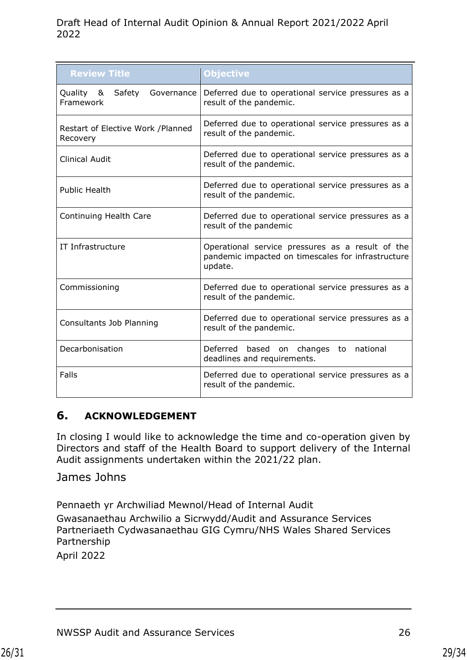| <b>Review Title</b>                           | Objective                                                                                                         |  |
|-----------------------------------------------|-------------------------------------------------------------------------------------------------------------------|--|
| Quality & Safety<br>Governance<br>Framework   | Deferred due to operational service pressures as a<br>result of the pandemic.                                     |  |
| Restart of Elective Work /Planned<br>Recovery | Deferred due to operational service pressures as a<br>result of the pandemic.                                     |  |
| Clinical Audit                                | Deferred due to operational service pressures as a<br>result of the pandemic.                                     |  |
| <b>Public Health</b>                          | Deferred due to operational service pressures as a<br>result of the pandemic.                                     |  |
| Continuing Health Care                        | Deferred due to operational service pressures as a<br>result of the pandemic                                      |  |
| IT Infrastructure                             | Operational service pressures as a result of the<br>pandemic impacted on timescales for infrastructure<br>update. |  |
| Commissioning                                 | Deferred due to operational service pressures as a<br>result of the pandemic.                                     |  |
| Consultants Job Planning                      | Deferred due to operational service pressures as a<br>result of the pandemic.                                     |  |
| Decarbonisation                               | based on changes to national<br>Deferred<br>deadlines and requirements.                                           |  |
| Falls                                         | Deferred due to operational service pressures as a<br>result of the pandemic.                                     |  |

#### <span id="page-28-0"></span>**6. ACKNOWLEDGEMENT**

In closing I would like to acknowledge the time and co-operation given by Directors and staff of the Health Board to support delivery of the Internal Audit assignments undertaken within the 2021/22 plan.

James Johns

Pennaeth yr Archwiliad Mewnol/Head of Internal Audit

Gwasanaethau Archwilio a Sicrwydd/Audit and Assurance Services Partneriaeth Cydwasanaethau GIG Cymru/NHS Wales Shared Services Partnership

April 2022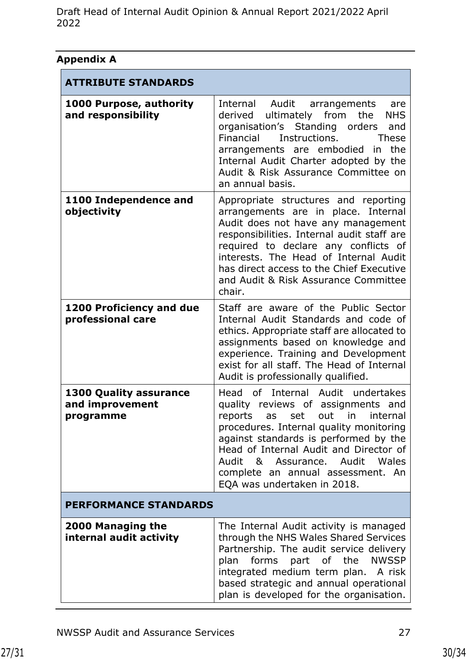| Appendix A                                                    |                                                                                                                                                                                                                                                                                                                                                |
|---------------------------------------------------------------|------------------------------------------------------------------------------------------------------------------------------------------------------------------------------------------------------------------------------------------------------------------------------------------------------------------------------------------------|
| <b>ATTRIBUTE STANDARDS</b>                                    |                                                                                                                                                                                                                                                                                                                                                |
| 1000 Purpose, authority<br>and responsibility                 | Internal Audit arrangements<br>are<br>derived ultimately from the<br><b>NHS</b><br>organisation's Standing orders<br>and<br>Financial<br>Instructions.<br><b>These</b><br>arrangements are embodied in<br>the<br>Internal Audit Charter adopted by the<br>Audit & Risk Assurance Committee on<br>an annual basis.                              |
| 1100 Independence and<br>objectivity                          | Appropriate structures and reporting<br>arrangements are in place. Internal<br>Audit does not have any management<br>responsibilities. Internal audit staff are<br>required to declare any conflicts of<br>interests. The Head of Internal Audit<br>has direct access to the Chief Executive<br>and Audit & Risk Assurance Committee<br>chair. |
| <b>1200 Proficiency and due</b><br>professional care          | Staff are aware of the Public Sector<br>Internal Audit Standards and code of<br>ethics. Appropriate staff are allocated to<br>assignments based on knowledge and<br>experience. Training and Development<br>exist for all staff. The Head of Internal<br>Audit is professionally qualified.                                                    |
| <b>1300 Quality assurance</b><br>and improvement<br>programme | Head of Internal Audit undertakes<br>quality reviews of assignments and<br>reports as set out in internal<br>procedures. Internal quality monitoring<br>against standards is performed by the<br>Head of Internal Audit and Director of<br>Audit & Assurance. Audit Wales<br>complete an annual assessment. An<br>EQA was undertaken in 2018.  |
| <b>PERFORMANCE STANDARDS</b>                                  |                                                                                                                                                                                                                                                                                                                                                |
| 2000 Managing the<br>internal audit activity                  | The Internal Audit activity is managed<br>through the NHS Wales Shared Services<br>Partnership. The audit service delivery<br>forms part of the NWSSP<br>plan<br>integrated medium term plan. A risk<br>based strategic and annual operational<br>plan is developed for the organisation.                                                      |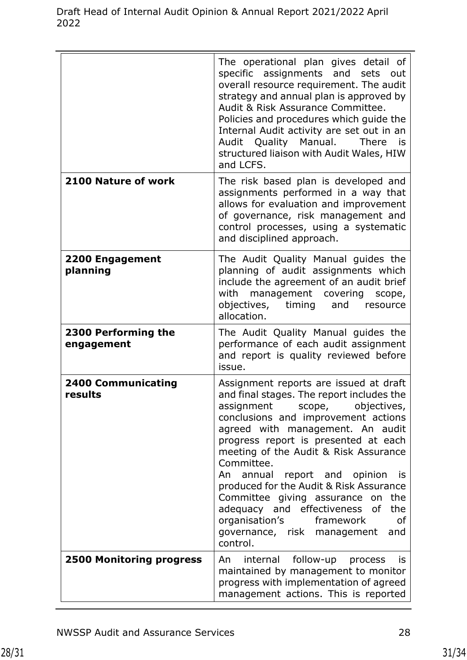|                                      | The operational plan gives detail of<br>specific assignments and sets<br>out<br>overall resource requirement. The audit<br>strategy and annual plan is approved by<br>Audit & Risk Assurance Committee.<br>Policies and procedures which guide the<br>Internal Audit activity are set out in an<br>Audit Quality Manual.<br><b>There</b><br>is<br>structured liaison with Audit Wales, HIW<br>and LCFS.                                                                                                                                                   |
|--------------------------------------|-----------------------------------------------------------------------------------------------------------------------------------------------------------------------------------------------------------------------------------------------------------------------------------------------------------------------------------------------------------------------------------------------------------------------------------------------------------------------------------------------------------------------------------------------------------|
| 2100 Nature of work                  | The risk based plan is developed and<br>assignments performed in a way that<br>allows for evaluation and improvement<br>of governance, risk management and<br>control processes, using a systematic<br>and disciplined approach.                                                                                                                                                                                                                                                                                                                          |
| 2200 Engagement<br>planning          | The Audit Quality Manual guides the<br>planning of audit assignments which<br>include the agreement of an audit brief<br>management covering<br>with<br>scope,<br>objectives, timing and resource<br>allocation.                                                                                                                                                                                                                                                                                                                                          |
| 2300 Performing the<br>engagement    | The Audit Quality Manual guides the<br>performance of each audit assignment<br>and report is quality reviewed before<br>issue.                                                                                                                                                                                                                                                                                                                                                                                                                            |
| <b>2400 Communicating</b><br>results | Assignment reports are issued at draft<br>and final stages. The report includes the<br>assignment<br>scope, objectives,<br>conclusions and improvement actions<br>agreed with management. An audit<br>progress report is presented at each<br>meeting of the Audit & Risk Assurance<br>Committee.<br>An annual report and opinion<br>is<br>produced for the Audit & Risk Assurance<br>Committee giving assurance on the<br>adequacy and effectiveness<br>of<br>the<br>organisation's<br>framework<br>of<br>governance, risk management<br>and<br>control. |
| <b>2500 Monitoring progress</b>      | internal follow-up process<br>An<br>is<br>maintained by management to monitor<br>progress with implementation of agreed<br>management actions. This is reported                                                                                                                                                                                                                                                                                                                                                                                           |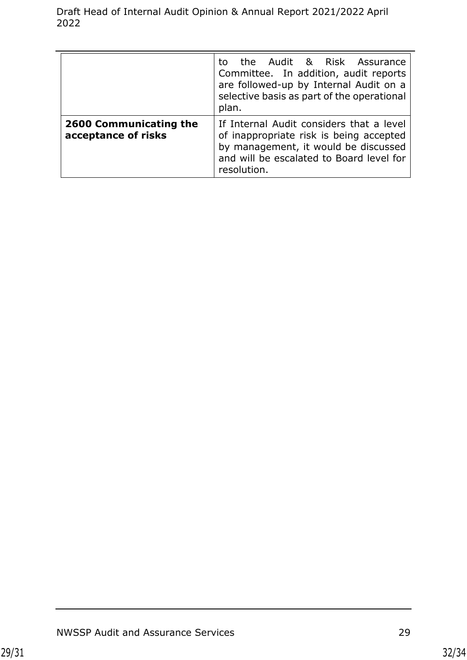|                                               | the Audit & Risk Assurance<br>to.<br>Committee. In addition, audit reports<br>are followed-up by Internal Audit on a<br>selective basis as part of the operational<br>plan.            |
|-----------------------------------------------|----------------------------------------------------------------------------------------------------------------------------------------------------------------------------------------|
| 2600 Communicating the<br>acceptance of risks | If Internal Audit considers that a level<br>of inappropriate risk is being accepted<br>by management, it would be discussed<br>and will be escalated to Board level for<br>resolution. |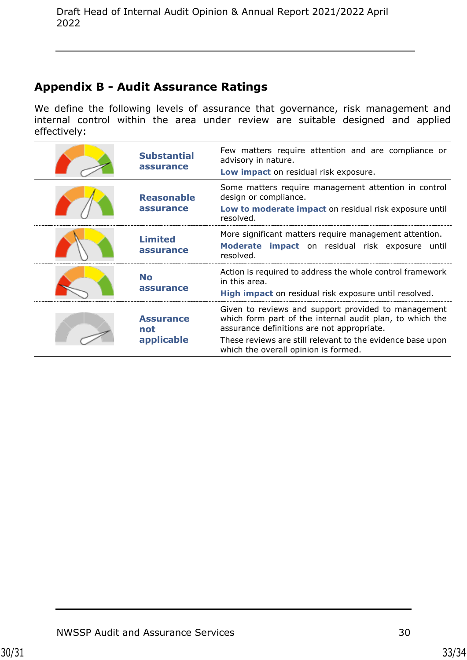## **Appendix B - Audit Assurance Ratings**

We define the following levels of assurance that governance, risk management and internal control within the area under review are suitable designed and applied effectively:

| <b>Substantial</b><br>assurance       | Few matters require attention and are compliance or<br>advisory in nature.<br>Low impact on residual risk exposure.                                                                                                                                                 |
|---------------------------------------|---------------------------------------------------------------------------------------------------------------------------------------------------------------------------------------------------------------------------------------------------------------------|
| <b>Reasonable</b><br>assurance        | Some matters require management attention in control<br>design or compliance.<br>Low to moderate impact on residual risk exposure until<br>resolved.                                                                                                                |
| <b>Limited</b><br>assurance           | More significant matters require management attention.<br>Moderate impact on residual risk exposure until<br>resolved.                                                                                                                                              |
| <b>No</b><br>assurance                | Action is required to address the whole control framework<br>in this area.<br>High impact on residual risk exposure until resolved.                                                                                                                                 |
| <b>Assurance</b><br>not<br>applicable | Given to reviews and support provided to management<br>which form part of the internal audit plan, to which the<br>assurance definitions are not appropriate.<br>These reviews are still relevant to the evidence base upon<br>which the overall opinion is formed. |